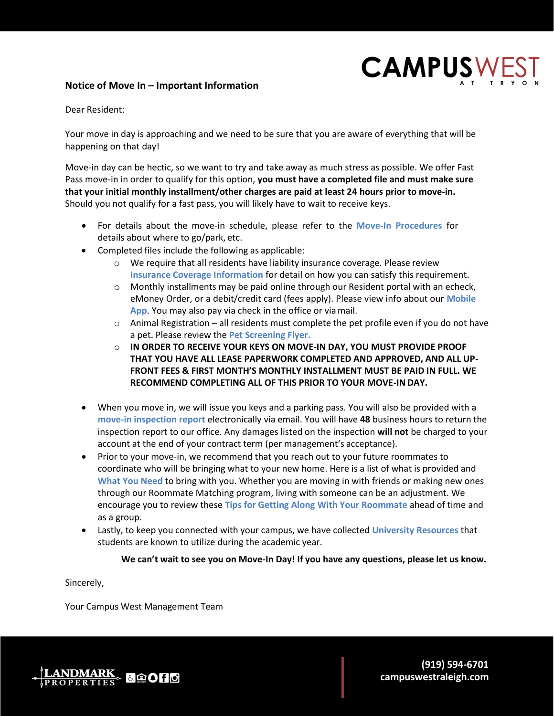# **Notice of Move In – Important Information**



Dear Resident:

Your move in day is approaching and we need to be sure that you are aware of everything that will be happening on that day!

Move-in day can be hectic, so we want to try and take away as much stress as possible. We offer Fast Pass move-in in order to qualify for this option, **you must have a completed file and must make sure that your initial monthly installment/other charges are paid at least 24 hours prior to move-in.**  Should you not qualify for a fast pass, you will likely have to wait to receive keys.

- For details about the move-in schedule, please refer to the **Move-In Procedures** for details about where to go/park, etc.
- Completed files include the following as applicable:
	- o We require that all residents have liability insurance coverage. Please review **Insurance Coverage Information** for detail on how you can satisfy this requirement.
	- $\circ$  Monthly installments may be paid online through our Resident portal with an echeck, eMoney Order, or a debit/credit card (fees apply). Please view info about our **Mobile App**. You may also pay via check in the office or viamail.
	- $\circ$  Animal Registration all residents must complete the pet profile even if you do not have a pet. Please review the **Pet Screening Flyer.**
	- o **IN ORDER TO RECEIVE YOUR KEYS ON MOVE-IN DAY, YOU MUST PROVIDE PROOF THAT YOU HAVE ALL LEASE PAPERWORK COMPLETED AND APPROVED, AND ALL UP-FRONT FEES & FIRST MONTH'S MONTHLY INSTALLMENT MUST BE PAID IN FULL. WE RECOMMEND COMPLETING ALL OF THIS PRIOR TO YOUR MOVE-IN DAY.**
- When you move in, we will issue you keys and a parking pass. You will also be provided with a **move-in inspection report** electronically via email. You will have **48** business hours to return the inspection report to our office. Any damages listed on the inspection **will not** be charged to your account at the end of your contract term (per management's acceptance).
- Prior to your move-in, we recommend that you reach out to your future roommates to coordinate who will be bringing what to your new home. Here is a list of what is provided and **What You Need** to bring with you. Whether you are moving in with friends or making new ones through our Roommate Matching program, living with someone can be an adjustment. We encourage you to review these **Tips for Getting Along With Your Roommate** ahead of time and as a group.
- Lastly, to keep you connected with your campus, we have collected **University Resources** that students are known to utilize during the academic year.

# **We can't wait to see you on Move-In Day! If you have any questions, please let us know.**

Sincerely,

Your Campus West Management Team

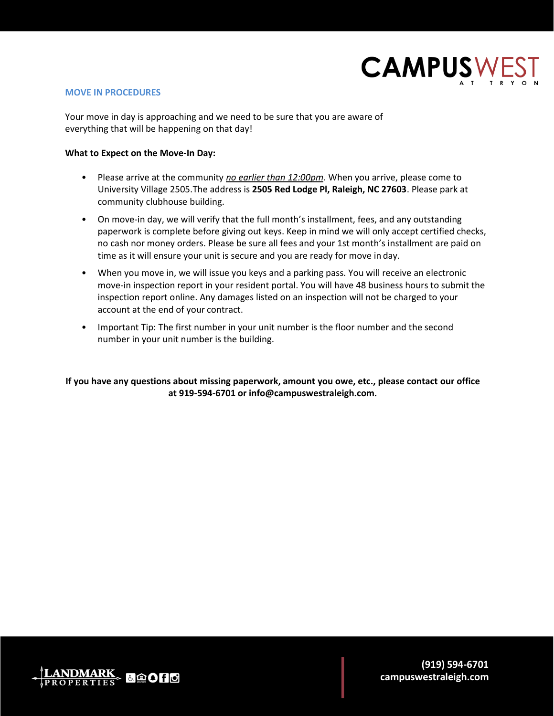

# **MOVE IN PROCEDURES**

Your move in day is approaching and we need to be sure that you are aware of everything that will be happening on that day!

## **What to Expect on the Move-In Day:**

- Please arrive at the community *no earlier than 12:00pm*. When you arrive, please come to University Village 2505.The address is **2505 Red Lodge Pl, Raleigh, NC 27603**. Please park at community clubhouse building.
- On move-in day, we will verify that the full month's installment, fees, and any outstanding paperwork is complete before giving out keys. Keep in mind we will only accept certified checks, no cash nor money orders. Please be sure all fees and your 1st month's installment are paid on time as it will ensure your unit is secure and you are ready for move in day.
- When you move in, we will issue you keys and a parking pass. You will receive an electronic move-in inspection report in your resident portal. You will have 48 business hours to submit the inspection report online. Any damages listed on an inspection will not be charged to your account at the end of your contract.
- Important Tip: The first number in your unit number is the floor number and the second number in your unit number is the building.

**If you have any questions about missing paperwork, amount you owe, etc., please contact our office at 919-594-6701 or [info@campuswestraleigh.com.](mailto:info@campuswestraleigh.com)**

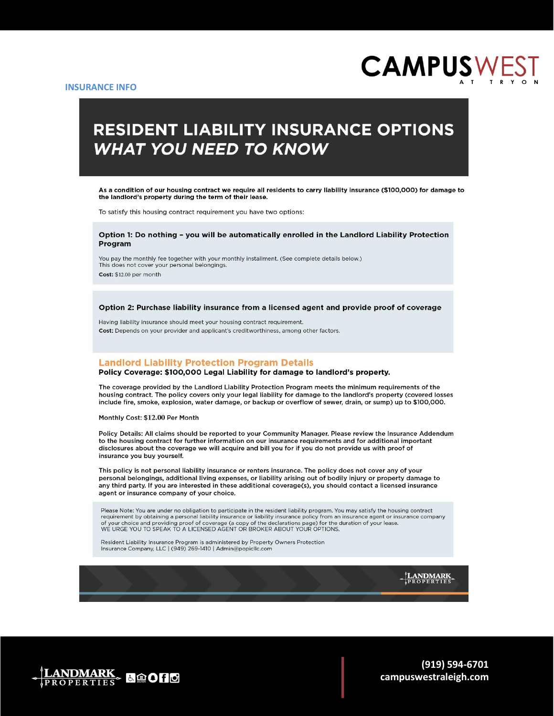

# **RESIDENT LIABILITY INSURANCE OPTIONS WHAT YOU NEED TO KNOW**

As a condition of our housing contract we require all residents to carry liability insurance (\$100,000) for damage to the landlord's property during the term of their lease.

To satisfy this housing contract requirement you have two options:

#### Option 1: Do nothing - you will be automatically enrolled in the Landlord Liability Protection Program

You pay the monthly fee together with your monthly installment. (See complete details below.) This does not cover your personal belongings. Cost: \$12.00 per month

Option 2: Purchase liability insurance from a licensed agent and provide proof of coverage

Having liability insurance should meet your housing contract requirement. Cost: Depends on your provider and applicant's creditworthiness, among other factors.

#### **Landlord Liability Protection Program Details**

#### Policy Coverage: \$100,000 Legal Liability for damage to landlord's property.

The coverage provided by the Landlord Liability Protection Program meets the minimum requirements of the housing contract. The policy covers only your legal liability for damage to the landlord's property (covered losses include fire, smoke, explosion, water damage, or backup or overflow of sewer, drain, or sump) up to \$100,000.

Monthly Cost: \$12.00 Per Month

Policy Details: All claims should be reported to your Community Manager. Please review the Insurance Addendum to the housing contract for further information on our insurance requirements and for additional important disclosures about the coverage we will acquire and bill you for if you do not provide us with proof of insurance you buy yourself.

This policy is not personal liability insurance or renters insurance. The policy does not cover any of your personal belongings, additional living expenses, or liability arising out of bodily injury or property damage to any third party. If you are interested in these additional coverage(s), you should contact a licensed insurance agent or insurance company of your choice.

Please Note: You are under no obligation to participate in the resident liability program. You may satisfy the housing contract requirement by obtaining a personal liability insurance or liability insurance policy from an insurance agent or insurance company<br>of your choice and providing proof of coverage (a copy of the declarations page) for the du WE URGE YOU TO SPEAK TO A LICENSED AGENT OR BROKER ABOUT YOUR OPTIONS.

Resident Liability Insurance Program is administered by Property Owners Protection Insurance Company, LLC | (949) 269-1410 | Admin@popicllc.com

LANDMARK

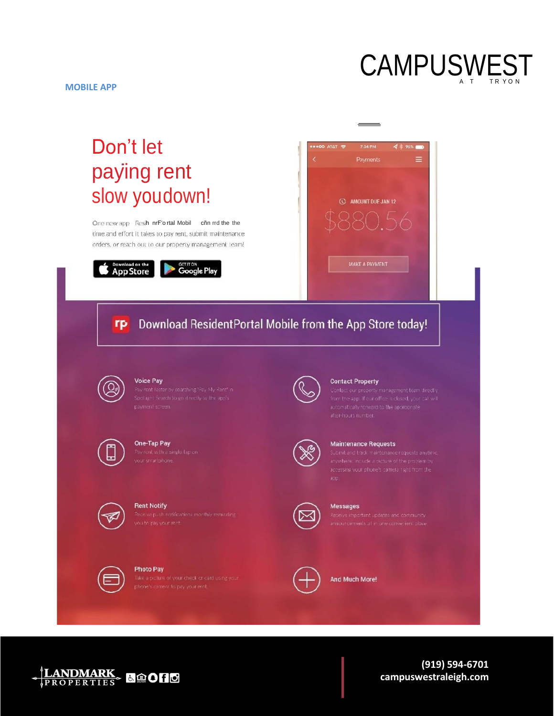

# Don't let paying rent slow youdown!

One new app Resih nrF'ortal Mobil cñn rrd the the time and effort it takes to pay rent, submit maintenance orders, or reach out to our property management team!







#### Download ResidentPortal Mobile from the App Store today! rp



# Voice Pay



# One-Tap Pay



**Rent Notify** 

**Photo Pay** 



#### **Contact Property**



#### **Maintenance Requests**



#### Messages



And Much More!

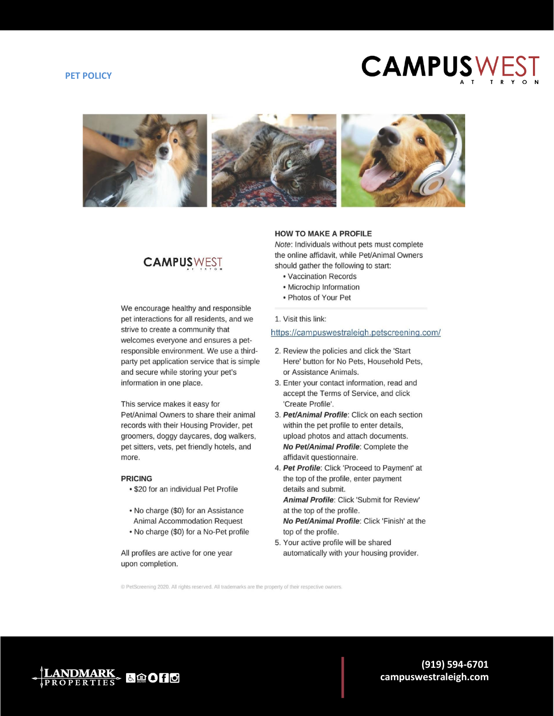#### **PET POLICY**

# **CAMPUSWEST**



# **CAMPUSWEST**

We encourage healthy and responsible pet interactions for all residents, and we strive to create a community that welcomes everyone and ensures a petresponsible environment. We use a thirdparty pet application service that is simple and secure while storing your pet's information in one place.

#### This service makes it easy for

Pet/Animal Owners to share their animal records with their Housing Provider, pet groomers, doggy daycares, dog walkers, pet sitters, vets, pet friendly hotels, and more.

#### **PRICING**

- . \$20 for an individual Pet Profile
- No charge (\$0) for an Assistance **Animal Accommodation Request**
- . No charge (\$0) for a No-Pet profile

All profiles are active for one year upon completion.

#### **HOW TO MAKE A PROFILE**

Note: Individuals without pets must complete the online affidavit, while Pet/Animal Owners should gather the following to start:

- Vaccination Records
- Microchip Information
- Photos of Your Pet

#### 1. Visit this link:

#### https://campuswestraleigh.petscreening.com/

- 2. Review the policies and click the 'Start' Here' button for No Pets, Household Pets, or Assistance Animals.
- 3. Enter your contact information, read and accept the Terms of Service, and click 'Create Profile'.
- 3. Pet/Animal Profile: Click on each section within the pet profile to enter details, upload photos and attach documents. No Pet/Animal Profile: Complete the affidavit questionnaire.
- 4. Pet Profile: Click 'Proceed to Payment' at the top of the profile, enter payment details and submit. Animal Profile: Click 'Submit for Review'

at the top of the profile. No Pet/Animal Profile: Click 'Finish' at the top of the profile.

5. Your active profile will be shared automatically with your housing provider.

© PetScreening 2020. All rights reserved. All trademarks are the property of their respective owners.

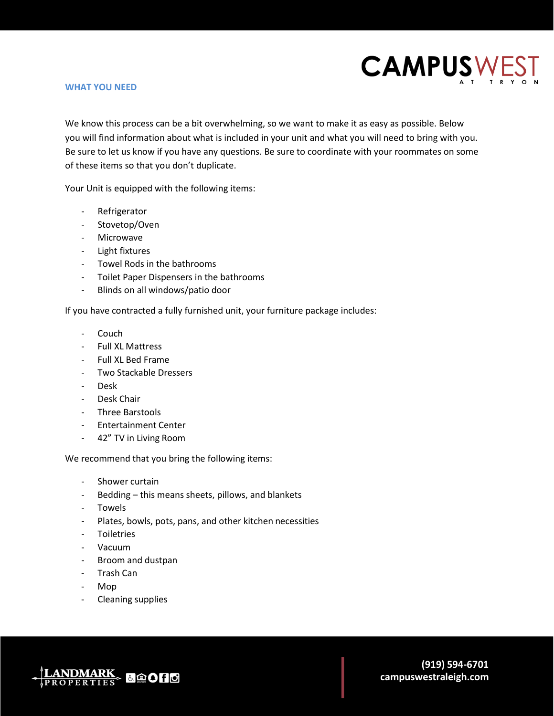

### **WHAT YOU NEED**

We know this process can be a bit overwhelming, so we want to make it as easy as possible. Below you will find information about what is included in your unit and what you will need to bring with you. Be sure to let us know if you have any questions. Be sure to coordinate with your roommates on some of these items so that you don't duplicate.

Your Unit is equipped with the following items:

- Refrigerator
- Stovetop/Oven
- Microwave
- Light fixtures
- Towel Rods in the bathrooms
- Toilet Paper Dispensers in the bathrooms
- Blinds on all windows/patio door

If you have contracted a fully furnished unit, your furniture package includes:

- Couch
- Full XL Mattress
- Full XL Bed Frame
- Two Stackable Dressers
- Desk
- Desk Chair
- Three Barstools
- Entertainment Center
- 42" TV in Living Room

We recommend that you bring the following items:

- Shower curtain
- Bedding this means sheets, pillows, and blankets
- Towels
- Plates, bowls, pots, pans, and other kitchen necessities
- Toiletries
- Vacuum
- Broom and dustpan
- Trash Can
- Mop
- Cleaning supplies

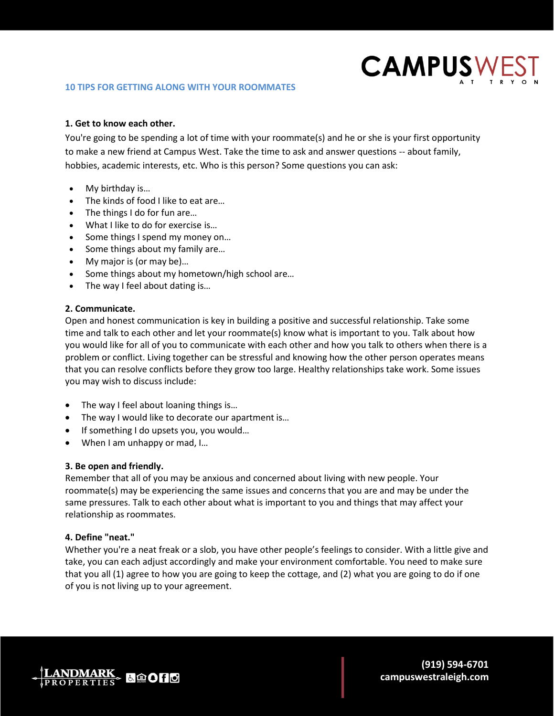

# **1. Get to know each other.**

You're going to be spending a lot of time with your roommate(s) and he or she is your first opportunity to make a new friend at Campus West. Take the time to ask and answer questions -- about family, hobbies, academic interests, etc. Who is this person? Some questions you can ask:

- My birthday is...
- The kinds of food I like to eat are…
- The things I do for fun are…
- What I like to do for exercise is…
- Some things I spend my money on...
- Some things about my family are...
- My major is (or may be)...
- Some things about my hometown/high school are...
- The way I feel about dating is...

## **2. Communicate.**

Open and honest communication is key in building a positive and successful relationship. Take some time and talk to each other and let your roommate(s) know what is important to you. Talk about how you would like for all of you to communicate with each other and how you talk to others when there is a problem or conflict. Living together can be stressful and knowing how the other person operates means that you can resolve conflicts before they grow too large. Healthy relationships take work. Some issues you may wish to discuss include:

- The way I feel about loaning things is...
- The way I would like to decorate our apartment is…
- If something I do upsets you, you would…
- When I am unhappy or mad, I...

## **3. Be open and friendly.**

Remember that all of you may be anxious and concerned about living with new people. Your roommate(s) may be experiencing the same issues and concerns that you are and may be under the same pressures. Talk to each other about what is important to you and things that may affect your relationship as roommates.

# **4. Define "neat."**

Whether you're a neat freak or a slob, you have other people's feelings to consider. With a little give and take, you can each adjust accordingly and make your environment comfortable. You need to make sure that you all (1) agree to how you are going to keep the cottage, and (2) what you are going to do if one of you is not living up to your agreement.

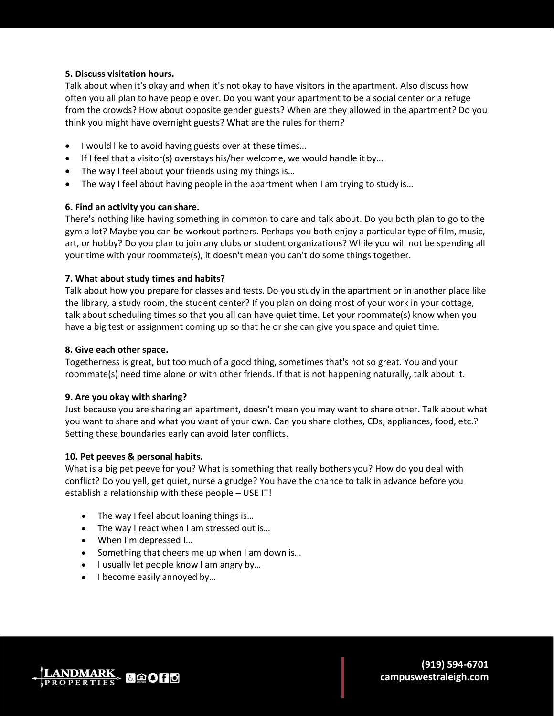# **5. Discuss visitation hours.**

Talk about when it's okay and when it's not okay to have visitors in the apartment. Also discuss how often you all plan to have people over. Do you want your apartment to be a social center or a refuge from the crowds? How about opposite gender guests? When are they allowed in the apartment? Do you think you might have overnight guests? What are the rules for them?

- I would like to avoid having guests over at these times…
- If I feel that a visitor(s) overstays his/her welcome, we would handle it by...
- The way I feel about your friends using my things is...
- The way I feel about having people in the apartment when I am trying to study is...

# **6. Find an activity you can share.**

There's nothing like having something in common to care and talk about. Do you both plan to go to the gym a lot? Maybe you can be workout partners. Perhaps you both enjoy a particular type of film, music, art, or hobby? Do you plan to join any clubs or student organizations? While you will not be spending all your time with your roommate(s), it doesn't mean you can't do some things together.

# **7. What about study times and habits?**

Talk about how you prepare for classes and tests. Do you study in the apartment or in another place like the library, a study room, the student center? If you plan on doing most of your work in your cottage, talk about scheduling times so that you all can have quiet time. Let your roommate(s) know when you have a big test or assignment coming up so that he or she can give you space and quiet time.

# **8. Give each other space.**

Togetherness is great, but too much of a good thing, sometimes that's not so great. You and your roommate(s) need time alone or with other friends. If that is not happening naturally, talk about it.

# **9. Are you okay with sharing?**

Just because you are sharing an apartment, doesn't mean you may want to share other. Talk about what you want to share and what you want of your own. Can you share clothes, CDs, appliances, food, etc.? Setting these boundaries early can avoid later conflicts.

# **10. Pet peeves & personal habits.**

What is a big pet peeve for you? What is something that really bothers you? How do you deal with conflict? Do you yell, get quiet, nurse a grudge? You have the chance to talk in advance before you establish a relationship with these people – USE IT!

- The way I feel about loaning things is...
- The way I react when I am stressed out is...
- When I'm depressed I...
- Something that cheers me up when I am down is...
- I usually let people know I am angry by...
- I become easily annoyed by...